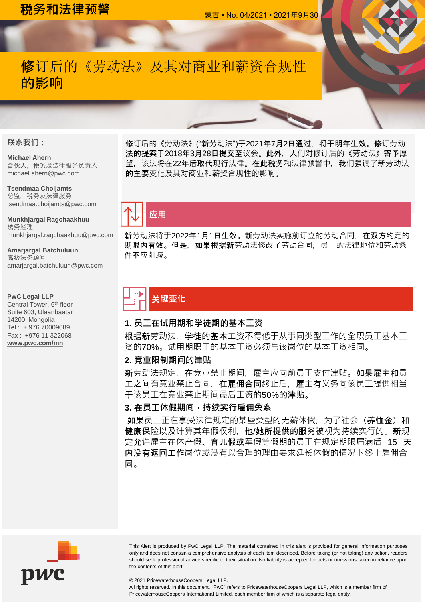## 税**务和法律预警** 蒙古 • No. 04/2021 • 2021年9月<sup>30</sup>

## 修订后的《劳动法》及其对商业和薪资合规性 的影响

#### **联系我们:**

#### **Michael Ahern**

合伙人,税务及法律服务负责人 michael.ahern@pwc.com

**Tsendmaa Choijamts** 总监,税务及法律服务 tsendmaa.choijamts@pwc.com

**Munkhjargal Ragchaakhuu** 法务经理 munkhjargal.ragchaakhuu@pwc.com

**Amarjargal Batchuluun** 高级法务顾问 amarjargal.batchuluun@pwc.com

#### **PwC Legal LLP**

Central Tower, 6<sup>th</sup> floor Suite 603, Ulaanbaatar 14200, Mongolia Tel : + 976 70009089 Fax : +976 11 322068 **[www.pwc.com/mn](http://www.pwc.com/mn)**

修订后的《劳动法》("新劳动法")于2021年7月2日通过, 将于明年生效。修订劳动 法的提案于2018年3月28日提交至议会。此外,人们对修订后的《劳动法》寄予厚 望,该法将在22年后取代现行法律。在此税务和法律预警中,我们强调了新劳动法 的主要变化及其对商业和薪资合规性的影响。



新劳动法将于2022年1月1日生效。新劳动法实施前订立的劳动合同,在双方约定的 期限内有效。但是,如果根据新劳动法修改了劳动合同,员工的法律地位和劳动条 件不应削减。

# 关**键变化**

### **1. 员工在试用期和学徒期的基本工资**

根据新劳动法,学徒的基本工资不得低于从事同类型工作的全职员工基本工 资的70%。试用期职工的基本工资必须与该岗位的基本工资相同。

#### **2. 竞业限制期间的津贴**

新劳动法规定,在竞业禁止期间,雇主应向前员工支付津贴。如果雇主和员 工之间有竞业禁止合同,在雇佣合同终止后,雇主有义务向该员工提供相当 于该员工在竞业禁止期间最后工资的50%的津贴。

### **3.** 在**员工休假期间,持续实行雇佣关系**

如果员工正在享受法律规定的某些类型的无薪休假,为了社会(养恤金)和 健康保险以及计算其年假权利,他/她所提供的服务被视为持续实行的。新规 定允许雇主在休产假、育儿假或军假等假期的员工在规定期限届满后 15 天 内没有返回工作岗位或没有以合理的理由要求延长休假的情况下终止雇佣合 同。



This Alert is produced by PwC Legal LLP. The material contained in this alert is provided for general information purposes only and does not contain a comprehensive analysis of each item described. Before taking (or not taking) any action, readers should seek professional advice specific to their situation. No liability is accepted for acts or omissions taken in reliance upon the contents of this alert.

© 2021 PricewaterhouseCoopers Legal LLP.

All rights reserved. In this document, "PwC" refers to PricewaterhouseCoopers Legal LLP, which is a member firm of PricewaterhouseCoopers International Limited, each member firm of which is a separate legal entity.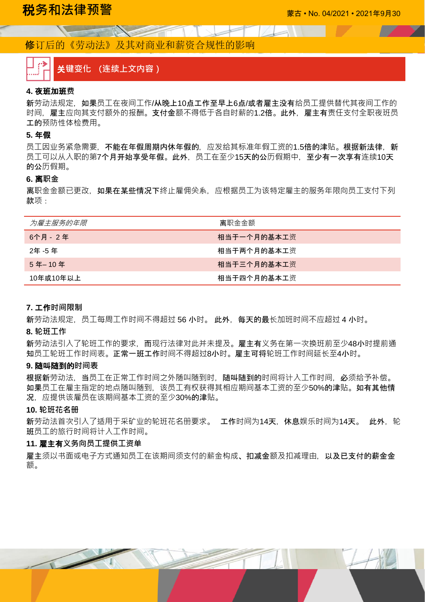## 修订后的《劳动法》及其对商业和薪资合规性的影响

The Charles of the Charles of the Charles

# . . . . . 3

### 关**键变化** (**连续上文内容)**

#### **4.** 夜班加班**费**

新劳动法规定,如果员工在夜间工作/从晚上10点工作至早上6点/或者雇主没有给员工提供替代其夜间工作的 时间,雇主应向其支付额外的报酬。支付金额不得低于各自时薪的1.2倍。此外,雇主有责任支付全职夜班员 工的预防性体检费用。

#### **5.** 年假

员工因业务紧急需要,不能在年假周期内休年假的,应发给其标准年假工资的1.5倍的津贴。根据新法律,新 员工可以从入职的第7个月开始享受年假。此外,员工在至少15天的公历假期中,至少有一次享有连续10天 的公历假期。

#### **6.** 离**职金**

离职金金额已更改,如**果在某些情况下**终止雇佣关系,应根据员工为该特定雇主的服务年限向员工支付下列 款项:

| 为雇主服务的年限  | 离职金金额       |
|-----------|-------------|
| 6个月 - 2年  | 相当于一个月的基本工资 |
| 2年 -5 年   | 相当于两个月的基本工资 |
| 5年-10年    | 相当于三个月的基本工资 |
| 10年或10年以上 | 相当于四个月的基本工资 |

#### **7.** 工作**时间限制**

新劳动法规定,员工每周工作时间不得超过 56 小时。此外, 每天的最长加班时间不应超过 4 小时。

#### **8. 轮班工作**

新劳动法引入了轮班工作的要求,而现行法律对此并未提及。雇主有义务在第一次换班前至少48小时提前通 知员工轮班工作时间表。正常一班工作时间不得超过8小时。雇主可将轮班工作时间延长至4小时。

#### **9.** 随叫随到的**时间表**

根据新劳动法,当员工在正常工作时间之外随叫随到时,随叫随到的时间将计入工作时间,必须给予补偿。 如果员工在雇主指定的地点随叫随到,该员工有权获得其相应期间基本工资的至少50%的津贴。如有其他情 况,应提供该雇员在该期间基本工资的至少30%的津贴。

#### **10. 轮班花名册**

新劳动法首次引入了适用于采矿业的轮班花名册要求。正作时间为14天,休息娱乐时间为14天。此外,轮 班员工的旅行时间将计入工作时间。

#### **11.** 雇主有**义务向员工提供工资单**

雇主须以书面或电子方式通知员工在该期间须支付的薪金构成、扣减金额及扣减理由,以及已支付的薪金金 额。